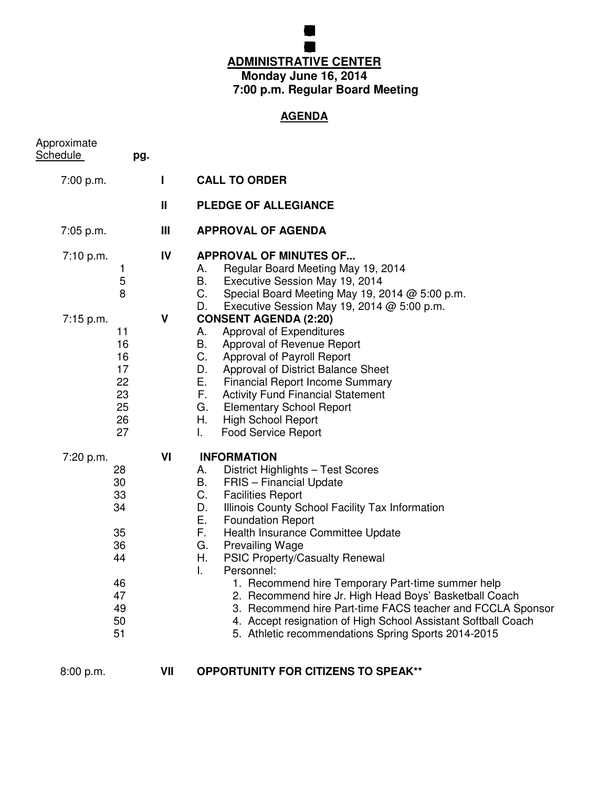## **BOARD FEUCATION MEG ADMINISTRATIVE CENTER Monday June 16, 2014 7:00 p.m. Regular Board Meeting**

**GRENFILD COMUNITY SCHOL**

## **AGENDA**

| Approximate<br><u>Schedule</u> | pg.                                                                  |    |                                                                                                                                                                                                                                                                                                                                                                                                                                                                                                                                                                                                                                                                                |
|--------------------------------|----------------------------------------------------------------------|----|--------------------------------------------------------------------------------------------------------------------------------------------------------------------------------------------------------------------------------------------------------------------------------------------------------------------------------------------------------------------------------------------------------------------------------------------------------------------------------------------------------------------------------------------------------------------------------------------------------------------------------------------------------------------------------|
| 7:00 p.m.                      |                                                                      | L  | <b>CALL TO ORDER</b>                                                                                                                                                                                                                                                                                                                                                                                                                                                                                                                                                                                                                                                           |
|                                |                                                                      | Ш  | <b>PLEDGE OF ALLEGIANCE</b>                                                                                                                                                                                                                                                                                                                                                                                                                                                                                                                                                                                                                                                    |
| 7:05 p.m.                      |                                                                      | Ш  | <b>APPROVAL OF AGENDA</b>                                                                                                                                                                                                                                                                                                                                                                                                                                                                                                                                                                                                                                                      |
| 7:10 p.m.                      | 1<br>5<br>8                                                          | IV | <b>APPROVAL OF MINUTES OF</b><br>Regular Board Meeting May 19, 2014<br>А.<br>В.<br>Executive Session May 19, 2014<br>C.<br>Special Board Meeting May 19, 2014 @ 5:00 p.m.<br>D.<br>Executive Session May 19, 2014 $@$ 5:00 p.m.                                                                                                                                                                                                                                                                                                                                                                                                                                                |
| 7:15 p.m.                      | 11<br>16<br>16<br>17<br>22<br>23<br>25<br>26<br>27                   | V  | <b>CONSENT AGENDA (2:20)</b><br>Approval of Expenditures<br>А.<br>В.<br>Approval of Revenue Report<br>C.<br>Approval of Payroll Report<br>D.<br>Approval of District Balance Sheet<br>Е.<br><b>Financial Report Income Summary</b><br>F.<br><b>Activity Fund Financial Statement</b><br>G.<br><b>Elementary School Report</b><br>Η.<br><b>High School Report</b><br>L.<br><b>Food Service Report</b>                                                                                                                                                                                                                                                                           |
| 7:20 p.m.                      | 28<br>30<br>33<br>34<br>35<br>36<br>44<br>46<br>47<br>49<br>50<br>51 | VI | <b>INFORMATION</b><br>District Highlights - Test Scores<br>А.<br>В.<br>FRIS - Financial Update<br>C.<br><b>Facilities Report</b><br>D.<br>Illinois County School Facility Tax Information<br>Е.<br><b>Foundation Report</b><br>F.<br>Health Insurance Committee Update<br>G.<br><b>Prevailing Wage</b><br>Η.<br><b>PSIC Property/Casualty Renewal</b><br>I.<br>Personnel:<br>1. Recommend hire Temporary Part-time summer help<br>2. Recommend hire Jr. High Head Boys' Basketball Coach<br>3. Recommend hire Part-time FACS teacher and FCCLA Sponsor<br>4. Accept resignation of High School Assistant Softball Coach<br>5. Athletic recommendations Spring Sports 2014-2015 |

8:00 p.m. **VII OPPORTUNITY FOR CITIZENS TO SPEAK\*\***